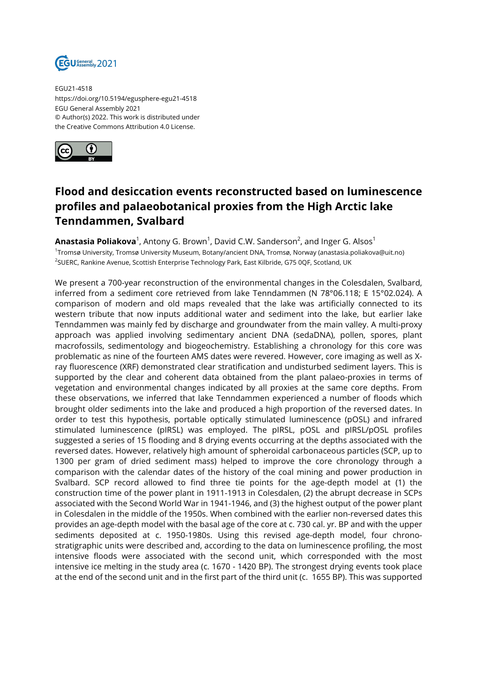

EGU21-4518 https://doi.org/10.5194/egusphere-egu21-4518 EGU General Assembly 2021 © Author(s) 2022. This work is distributed under the Creative Commons Attribution 4.0 License.



## **Flood and desiccation events reconstructed based on luminescence profiles and palaeobotanical proxies from the High Arctic lake Tenndammen, Svalbard**

**Anastasia Poliakova** $^1$ , Antony G. Brown $^1$ , David C.W. Sanderson $^2$ , and Inger G. Alsos $^1$ 1 Tromsø University, Tromsø University Museum, Botany/ancient DNA, Tromsø, Norway (anastasia.poliakova@uit.no) <sup>2</sup>SUERC, Rankine Avenue, Scottish Enterprise Technology Park, East Kilbride, G75 0QF, Scotland, UK

We present a 700-year reconstruction of the environmental changes in the Colesdalen, Svalbard, inferred from a sediment core retrieved from lake Tenndammen (N 78°06.118; E 15°02.024). A comparison of modern and old maps revealed that the lake was artificially connected to its western tribute that now inputs additional water and sediment into the lake, but earlier lake Tenndammen was mainly fed by discharge and groundwater from the main valley. A multi-proxy approach was applied involving sedimentary ancient DNA (sedaDNA), pollen, spores, plant macrofossils, sedimentology and biogeochemistry. Establishing a chronology for this core was problematic as nine of the fourteen AMS dates were revered. However, core imaging as well as Xray fluorescence (XRF) demonstrated clear stratification and undisturbed sediment layers. This is supported by the clear and coherent data obtained from the plant palaeo-proxies in terms of vegetation and environmental changes indicated by all proxies at the same core depths. From these observations, we inferred that lake Tenndammen experienced a number of floods which brought older sediments into the lake and produced a high proportion of the reversed dates. In order to test this hypothesis, portable optically stimulated luminescence (pOSL) and infrared stimulated luminescence (pIRSL) was employed. The pIRSL, pOSL and pIRSL/pOSL profiles suggested a series of 15 flooding and 8 drying events occurring at the depths associated with the reversed dates. However, relatively high amount of spheroidal carbonaceous particles (SCP, up to 1300 per gram of dried sediment mass) helped to improve the core chronology through a comparison with the calendar dates of the history of the coal mining and power production in Svalbard. SCP record allowed to find three tie points for the age-depth model at (1) the construction time of the power plant in 1911-1913 in Colesdalen, (2) the abrupt decrease in SCPs associated with the Second World War in 1941-1946, and (3) the highest output of the power plant in Colesdalen in the middle of the 1950s. When combined with the earlier non-reversed dates this provides an age-depth model with the basal age of the core at c. 730 cal. yr. BP and with the upper sediments deposited at c. 1950-1980s. Using this revised age-depth model, four chronostratigraphic units were described and, according to the data on luminescence profiling, the most intensive floods were associated with the second unit, which corresponded with the most intensive ice melting in the study area (c. 1670 - 1420 BP). The strongest drying events took place at the end of the second unit and in the first part of the third unit (c. 1655 BP). This was supported